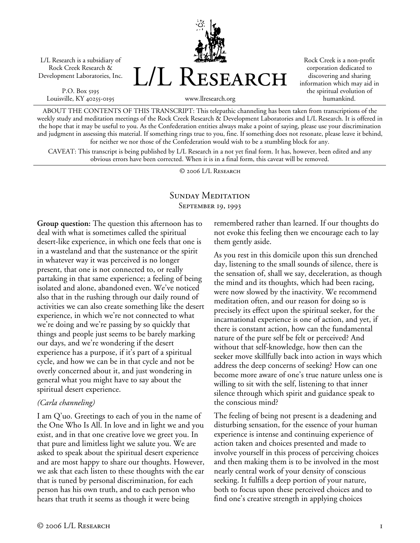L/L Research is a subsidiary of Rock Creek Research & Development Laboratories, Inc.

P.O. Box 5195 Louisville, KY 40255-0195



Rock Creek is a non-profit corporation dedicated to discovering and sharing information which may aid in the spiritual evolution of humankind.

www.llresearch.org

ABOUT THE CONTENTS OF THIS TRANSCRIPT: This telepathic channeling has been taken from transcriptions of the weekly study and meditation meetings of the Rock Creek Research & Development Laboratories and L/L Research. It is offered in the hope that it may be useful to you. As the Confederation entities always make a point of saying, please use your discrimination and judgment in assessing this material. If something rings true to you, fine. If something does not resonate, please leave it behind, for neither we nor those of the Confederation would wish to be a stumbling block for any.

CAVEAT: This transcript is being published by L/L Research in a not yet final form. It has, however, been edited and any obvious errors have been corrected. When it is in a final form, this caveat will be removed.

© 2006 L/L Research

# SUNDAY MEDITATION SEPTEMBER 19, 1993

**Group question:** The question this afternoon has to deal with what is sometimes called the spiritual desert-like experience, in which one feels that one is in a wasteland and that the sustenance or the spirit in whatever way it was perceived is no longer present, that one is not connected to, or really partaking in that same experience; a feeling of being isolated and alone, abandoned even. We've noticed also that in the rushing through our daily round of activities we can also create something like the desert experience, in which we're not connected to what we're doing and we're passing by so quickly that things and people just seems to be barely marking our days, and we're wondering if the desert experience has a purpose, if it's part of a spiritual cycle, and how we can be in that cycle and not be overly concerned about it, and just wondering in general what you might have to say about the spiritual desert experience.

## *(Carla channeling)*

I am Q'uo. Greetings to each of you in the name of the One Who Is All. In love and in light we and you exist, and in that one creative love we greet you. In that pure and limitless light we salute you. We are asked to speak about the spiritual desert experience and are most happy to share our thoughts. However, we ask that each listen to these thoughts with the ear that is tuned by personal discrimination, for each person has his own truth, and to each person who hears that truth it seems as though it were being

remembered rather than learned. If our thoughts do not evoke this feeling then we encourage each to lay them gently aside.

As you rest in this domicile upon this sun drenched day, listening to the small sounds of silence, there is the sensation of, shall we say, deceleration, as though the mind and its thoughts, which had been racing, were now slowed by the inactivity. We recommend meditation often, and our reason for doing so is precisely its effect upon the spiritual seeker, for the incarnational experience is one of action, and yet, if there is constant action, how can the fundamental nature of the pure self be felt or perceived? And without that self-knowledge, how then can the seeker move skillfully back into action in ways which address the deep concerns of seeking? How can one become more aware of one's true nature unless one is willing to sit with the self, listening to that inner silence through which spirit and guidance speak to the conscious mind?

The feeling of being not present is a deadening and disturbing sensation, for the essence of your human experience is intense and continuing experience of action taken and choices presented and made to involve yourself in this process of perceiving choices and then making them is to be involved in the most nearly central work of your density of conscious seeking. It fulfills a deep portion of your nature, both to focus upon these perceived choices and to find one's creative strength in applying choices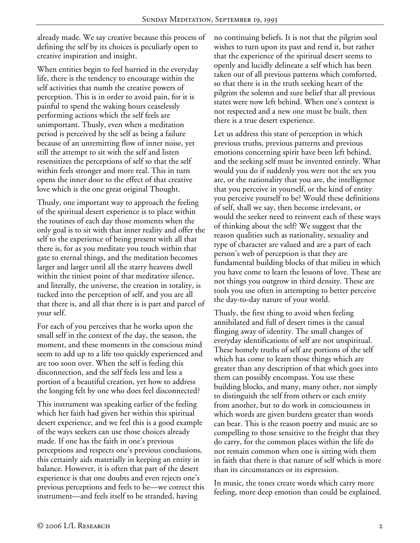already made. We say creative because this process of defining the self by its choices is peculiarly open to creative inspiration and insight.

When entities begin to feel hurried in the everyday life, there is the tendency to encourage within the self activities that numb the creative powers of perception. This is in order to avoid pain, for it is painful to spend the waking hours ceaselessly performing actions which the self feels are unimportant. Thusly, even when a meditation period is perceived by the self as being a failure because of an unremitting flow of inner noise, yet still the attempt to sit with the self and listen resensitizes the perceptions of self so that the self within feels stronger and more real. This in turn opens the inner door to the effect of that creative love which is the one great original Thought.

Thusly, one important way to approach the feeling of the spiritual desert experience is to place within the routines of each day those moments when the only goal is to sit with that inner reality and offer the self to the experience of being present with all that there is, for as you meditate you touch within that gate to eternal things, and the meditation becomes larger and larger until all the starry heavens dwell within the tiniest point of that meditative silence, and literally, the universe, the creation in totality, is tucked into the perception of self, and you are all that there is, and all that there is is part and parcel of your self.

For each of you perceives that he works upon the small self in the context of the day, the season, the moment, and these moments in the conscious mind seem to add up to a life too quickly experienced and are too soon over. When the self is feeling this disconnection, and the self feels less and less a portion of a beautiful creation, yet how to address the longing felt by one who does feel disconnected?

This instrument was speaking earlier of the feeling which her faith had given her within this spiritual desert experience, and we feel this is a good example of the ways seekers can use those choices already made. If one has the faith in one's previous perceptions and respects one's previous conclusions, this certainly aids materially in keeping an entity in balance. However, it is often that part of the desert experience is that one doubts and even rejects one's previous perceptions and feels to be—we correct this instrument—and feels itself to be stranded, having

no continuing beliefs. It is not that the pilgrim soul wishes to turn upon its past and rend it, but rather that the experience of the spiritual desert seems to openly and lucidly delineate a self which has been taken out of all previous patterns which comforted, so that there is in the truth seeking heart of the pilgrim the solemn and sure belief that all previous states were now left behind. When one's context is not respected and a new one must be built, then there is a true desert experience.

Let us address this state of perception in which previous truths, previous patterns and previous emotions concerning spirit have been left behind, and the seeking self must be invented entirely. What would you do if suddenly you were not the sex you are, or the nationality that you are, the intelligence that you perceive in yourself, or the kind of entity you perceive yourself to be? Would these definitions of self, shall we say, then become irrelevant, or would the seeker need to reinvent each of these ways of thinking about the self? We suggest that the reason qualities such as nationality, sexuality and type of character are valued and are a part of each person's web of perception is that they are fundamental building blocks of that milieu in which you have come to learn the lessons of love. These are not things you outgrow in third density. These are tools you use often in attempting to better perceive the day-to-day nature of your world.

Thusly, the first thing to avoid when feeling annihilated and full of desert times is the casual flinging away of identity. The small changes of everyday identifications of self are not unspiritual. These homely truths of self are portions of the self which has come to learn those things which are greater than any description of that which goes into them can possibly encompass. You use these building blocks, and many, many other, not simply to distinguish the self from others or each entity from another, but to do work in consciousness in which words are given burdens greater than words can bear. This is the reason poetry and music are so compelling to those sensitive to the freight that they do carry, for the common places within the life do not remain common when one is sitting with them in faith that there is that nature of self which is more than its circumstances or its expression.

In music, the tones create words which carry more feeling, more deep emotion than could be explained.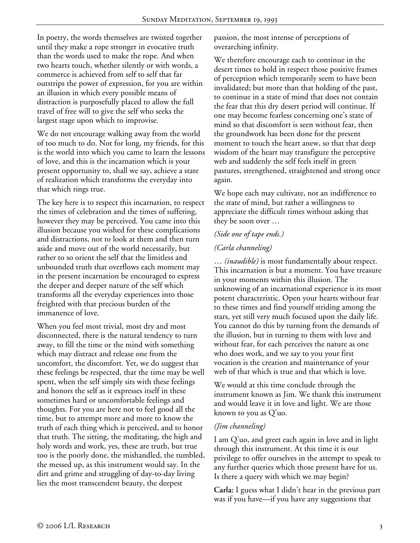In poetry, the words themselves are twisted together until they make a rope stronger in evocative truth than the words used to make the rope. And when two hearts touch, whether silently or with words, a commerce is achieved from self to self that far outstrips the power of expression, for you are within an illusion in which every possible means of distraction is purposefully placed to allow the full travel of free will to give the self who seeks the largest stage upon which to improvise.

We do not encourage walking away from the world of too much to do. Not for long, my friends, for this is the world into which you came to learn the lessons of love, and this is the incarnation which is your present opportunity to, shall we say, achieve a state of realization which transforms the everyday into that which rings true.

The key here is to respect this incarnation, to respect the times of celebration and the times of suffering, however they may be perceived. You came into this illusion because you wished for these complications and distractions, not to look at them and then turn aside and move out of the world necessarily, but rather to so orient the self that the limitless and unbounded truth that overflows each moment may in the present incarnation be encouraged to express the deeper and deeper nature of the self which transforms all the everyday experiences into those freighted with that precious burden of the immanence of love.

When you feel most trivial, most dry and most disconnected, there is the natural tendency to turn away, to fill the time or the mind with something which may distract and release one from the uncomfort, the discomfort. Yet, we do suggest that these feelings be respected, that the time may be well spent, when the self simply sits with these feelings and honors the self as it expresses itself in these sometimes hard or uncomfortable feelings and thoughts. For you are here not to feel good all the time, but to attempt more and more to know the truth of each thing which is perceived, and to honor that truth. The sitting, the meditating, the high and holy words and work, yes, these are truth, but true too is the poorly done, the mishandled, the tumbled, the messed up, as this instrument would say. In the dirt and grime and struggling of day-to-day living lies the most transcendent beauty, the deepest

passion, the most intense of perceptions of overarching infinity.

We therefore encourage each to continue in the desert times to hold in respect those positive frames of perception which temporarily seem to have been invalidated; but more than that holding of the past, to continue in a state of mind that does not contain the fear that this dry desert period will continue. If one may become fearless concerning one's state of mind so that discomfort is seen without fear, then the groundwork has been done for the present moment to touch the heart anew, so that that deep wisdom of the heart may transfigure the perceptive web and suddenly the self feels itself in green pastures, strengthened, straightened and strong once again.

We hope each may cultivate, not an indifference to the state of mind, but rather a willingness to appreciate the difficult times without asking that they be soon over …

## *(Side one of tape ends.)*

### *(Carla channeling)*

… *(inaudible)* is most fundamentally about respect. This incarnation is but a moment. You have treasure in your moments within this illusion. The unknowing of an incarnational experience is its most potent characteristic. Open your hearts without fear to these times and find yourself striding among the stars, yet still very much focused upon the daily life. You cannot do this by turning from the demands of the illusion, but in turning to them with love and without fear, for each perceives the nature as one who does work, and we say to you your first vocation is the creation and maintenance of your web of that which is true and that which is love.

We would at this time conclude through the instrument known as Jim. We thank this instrument and would leave it in love and light. We are those known to you as Q'uo.

### *(Jim channeling)*

I am Q'uo, and greet each again in love and in light through this instrument. At this time it is our privilege to offer ourselves in the attempt to speak to any further queries which those present have for us. Is there a query with which we may begin?

**Carla:** I guess what I didn't hear in the previous part was if you have—if you have any suggestions that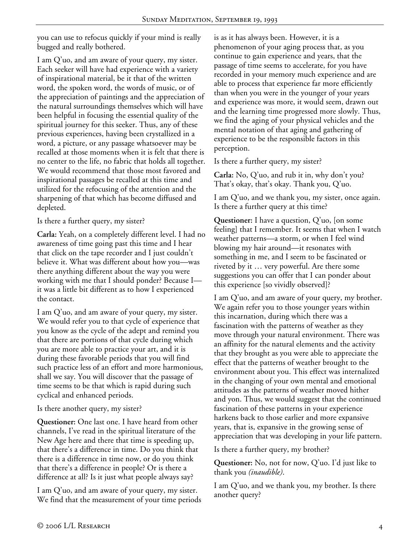you can use to refocus quickly if your mind is really bugged and really bothered.

I am Q'uo, and am aware of your query, my sister. Each seeker will have had experience with a variety of inspirational material, be it that of the written word, the spoken word, the words of music, or of the appreciation of paintings and the appreciation of the natural surroundings themselves which will have been helpful in focusing the essential quality of the spiritual journey for this seeker. Thus, any of these previous experiences, having been crystallized in a word, a picture, or any passage whatsoever may be recalled at those moments when it is felt that there is no center to the life, no fabric that holds all together. We would recommend that those most favored and inspirational passages be recalled at this time and utilized for the refocusing of the attention and the sharpening of that which has become diffused and depleted.

Is there a further query, my sister?

**Carla:** Yeah, on a completely different level. I had no awareness of time going past this time and I hear that click on the tape recorder and I just couldn't believe it. What was different about how you—was there anything different about the way you were working with me that I should ponder? Because I it was a little bit different as to how I experienced the contact.

I am Q'uo, and am aware of your query, my sister. We would refer you to that cycle of experience that you know as the cycle of the adept and remind you that there are portions of that cycle during which you are more able to practice your art, and it is during these favorable periods that you will find such practice less of an effort and more harmonious, shall we say. You will discover that the passage of time seems to be that which is rapid during such cyclical and enhanced periods.

Is there another query, my sister?

**Questioner:** One last one. I have heard from other channels, I've read in the spiritual literature of the New Age here and there that time is speeding up, that there's a difference in time. Do you think that there is a difference in time now, or do you think that there's a difference in people? Or is there a difference at all? Is it just what people always say?

I am Q'uo, and am aware of your query, my sister. We find that the measurement of your time periods is as it has always been. However, it is a phenomenon of your aging process that, as you continue to gain experience and years, that the passage of time seems to accelerate, for you have recorded in your memory much experience and are able to process that experience far more efficiently than when you were in the younger of your years and experience was more, it would seem, drawn out and the learning time progressed more slowly. Thus, we find the aging of your physical vehicles and the mental notation of that aging and gathering of experience to be the responsible factors in this perception.

Is there a further query, my sister?

**Carla:** No, Q'uo, and rub it in, why don't you? That's okay, that's okay. Thank you, Q'uo.

I am Q'uo, and we thank you, my sister, once again. Is there a further query at this time?

**Questioner:** I have a question, Q'uo, [on some feeling] that I remember. It seems that when I watch weather patterns—a storm, or when I feel wind blowing my hair around—it resonates with something in me, and I seem to be fascinated or riveted by it … very powerful. Are there some suggestions you can offer that I can ponder about this experience [so vividly observed]?

I am Q'uo, and am aware of your query, my brother. We again refer you to those younger years within this incarnation, during which there was a fascination with the patterns of weather as they move through your natural environment. There was an affinity for the natural elements and the activity that they brought as you were able to appreciate the effect that the patterns of weather brought to the environment about you. This effect was internalized in the changing of your own mental and emotional attitudes as the patterns of weather moved hither and yon. Thus, we would suggest that the continued fascination of these patterns in your experience harkens back to those earlier and more expansive years, that is, expansive in the growing sense of appreciation that was developing in your life pattern.

Is there a further query, my brother?

**Questioner:** No, not for now, Q'uo. I'd just like to thank you *(inaudible)*.

I am Q'uo, and we thank you, my brother. Is there another query?